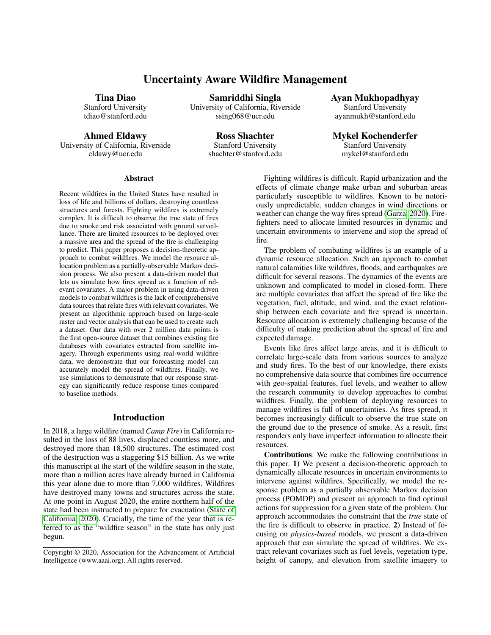# Uncertainty Aware Wildfire Management

#### Tina Diao

Stanford University tdiao@stanford.edu

Ahmed Eldawy

University of California, Riverside eldawy@ucr.edu

Samriddhi Singla University of California, Riverside ssing068@ucr.edu

> Ross Shachter Stanford University shachter@stanford.edu

Ayan Mukhopadhyay Stanford University ayanmukh@stanford.edu

Mykel Kochenderfer Stanford University mykel@stanford.edu

#### Abstract

Recent wildfires in the United States have resulted in loss of life and billions of dollars, destroying countless structures and forests. Fighting wildfires is extremely complex. It is difficult to observe the true state of fires due to smoke and risk associated with ground surveillance. There are limited resources to be deployed over a massive area and the spread of the fire is challenging to predict. This paper proposes a decision-theoretic approach to combat wildfires. We model the resource allocation problem as a partially-observable Markov decision process. We also present a data-driven model that lets us simulate how fires spread as a function of relevant covariates. A major problem in using data-driven models to combat wildfires is the lack of comprehensive data sources that relate fires with relevant covariates. We present an algorithmic approach based on large-scale raster and vector analysis that can be used to create such a dataset. Our data with over 2 million data points is the first open-source dataset that combines existing fire databases with covariates extracted from satellite imagery. Through experiments using real-world wildfire data, we demonstrate that our forecasting model can accurately model the spread of wildfires. Finally, we use simulations to demonstrate that our response strategy can significantly reduce response times compared to baseline methods.

#### Introduction

In 2018, a large wildfire (named *Camp Fire*) in California resulted in the loss of 88 lives, displaced countless more, and destroyed more than 18,500 structures. The estimated cost of the destruction was a staggering \$15 billion. As we write this manuscript at the start of the wildfire season in the state, more than a million acres have already burned in California this year alone due to more than 7,000 wildfires. Wildfires have destroyed many towns and structures across the state. At one point in August 2020, the entire northern half of the state had been instructed to prepare for evacuation [\(State of](#page-6-0) [California, 2020\)](#page-6-0). Crucially, the time of the year that is referred to as the "wildfire season" in the state has only just begun.

Fighting wildfires is difficult. Rapid urbanization and the effects of climate change make urban and suburban areas particularly susceptible to wildfires. Known to be notoriously unpredictable, sudden changes in wind directions or weather can change the way fires spread [\(Garza, 2020\)](#page-6-1). Firefighters need to allocate limited resources in dynamic and uncertain environments to intervene and stop the spread of fire.

The problem of combating wildfires is an example of a dynamic resource allocation. Such an approach to combat natural calamities like wildfires, floods, and earthquakes are difficult for several reasons. The dynamics of the events are unknown and complicated to model in closed-form. There are multiple covariates that affect the spread of fire like the vegetation, fuel, altitude, and wind, and the exact relationship between each covariate and fire spread is uncertain. Resource allocation is extremely challenging because of the difficulty of making prediction about the spread of fire and expected damage.

Events like fires affect large areas, and it is difficult to correlate large-scale data from various sources to analyze and study fires. To the best of our knowledge, there exists no comprehensive data source that combines fire occurrence with geo-spatial features, fuel levels, and weather to allow the research community to develop approaches to combat wildfires. Finally, the problem of deploying resources to manage wildfires is full of uncertainties. As fires spread, it becomes increasingly difficult to observe the true state on the ground due to the presence of smoke. As a result, first responders only have imperfect information to allocate their resources.

Contributions: We make the following contributions in this paper. 1) We present a decision-theoretic approach to dynamically allocate resources in uncertain environments to intervene against wildfires. Specifically, we model the response problem as a partially observable Markov decision process (POMDP) and present an approach to find optimal actions for suppression for a given state of the problem. Our approach accommodates the constraint that the *true* state of the fire is difficult to observe in practice. 2) Instead of focusing on *physics-based* models, we present a data-driven approach that can simulate the spread of wildfires. We extract relevant covariates such as fuel levels, vegetation type, height of canopy, and elevation from satellite imagery to

Copyright © 2020, Association for the Advancement of Artificial Intelligence (www.aaai.org). All rights reserved.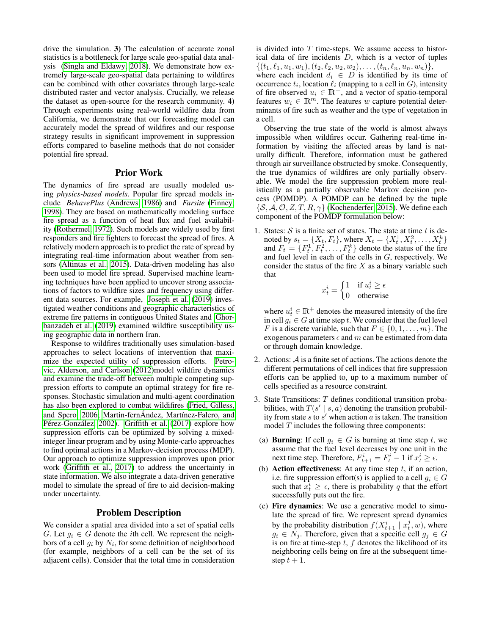drive the simulation. 3) The calculation of accurate zonal statistics is a bottleneck for large scale geo-spatial data analysis [\(Singla and Eldawy, 2018\)](#page-6-2). We demonstrate how extremely large-scale geo-spatial data pertaining to wildfires can be combined with other covariates through large-scale distributed raster and vector analysis. Crucially, we release the dataset as open-source for the research community. 4) Through experiments using real-world wildfire data from California, we demonstrate that our forecasting model can accurately model the spread of wildfires and our response strategy results in significant improvement in suppression efforts compared to baseline methods that do not consider potential fire spread.

### Prior Work

The dynamics of fire spread are usually modeled using *physics-based models*. Popular fire spread models include *BehavePlus* [\(Andrews, 1986\)](#page-5-0) and *Farsite* [\(Finney,](#page-6-3) [1998\)](#page-6-3). They are based on mathematically modeling surface fire spread as a function of heat flux and fuel availability [\(Rothermel, 1972\)](#page-6-4). Such models are widely used by first responders and fire fighters to forecast the spread of fires. A relatively modern approach is to predict the rate of spread by integrating real-time information about weather from sensors [\(Altintas et al., 2015\)](#page-5-1). Data-driven modeling has also been used to model fire spread. Supervised machine learning techniques have been applied to uncover strong associations of factors to wildfire sizes and frequency using different data sources. For example, [Joseph et al.](#page-6-5) [\(2019\)](#page-6-5) investigated weather conditions and geographic characteristics of extreme fire patterns in contiguous United States and [Ghor](#page-6-6)[banzadeh et al.](#page-6-6) [\(2019\)](#page-6-6) examined wildfire susceptibility using geographic data in northern Iran.

Response to wildfires traditionally uses simulation-based approaches to select locations of intervention that maximize the expected utility of suppression efforts. [Petro](#page-6-7)[vic, Alderson, and Carlson](#page-6-7) [\(2012\)](#page-6-7)model wildfire dynamics and examine the trade-off between multiple competing suppression efforts to compute an optimal strategy for fire responses. Stochastic simulation and multi-agent coordination has also been explored to combat wildifires [\(Fried, Gilless,](#page-6-8) [and Spero, 2006;](#page-6-8) Martin-fernÁndez, Martínez-Falero, and Pérez-González, [2002\)](#page-6-9). [Griffith et al.](#page-6-10) [\(2017\)](#page-6-10) explore how suppression efforts can be optimized by solving a mixedinteger linear program and by using Monte-carlo approaches to find optimal actions in a Markov-decision process (MDP). Our approach to optimize suppression improves upon prior work [\(Griffith et al., 2017\)](#page-6-10) to address the uncertainty in state information. We also integrate a data-driven generative model to simulate the spread of fire to aid decision-making under uncertainty.

## Problem Description

We consider a spatial area divided into a set of spatial cells G. Let  $g_i \in G$  denote the *i*th cell. We represent the neighbors of a cell  $g_i$  by  $N_i$ , for some definition of neighborhood (for example, neighbors of a cell can be the set of its adjacent cells). Consider that the total time in consideration

is divided into  $T$  time-steps. We assume access to historical data of fire incidents  $D$ , which is a vector of tuples  $\{(t_1, \ell_1, u_1, w_1), (t_2, \ell_2, u_2, w_2), \ldots, (t_n, \ell_n, u_n, w_n)\},\$ where each incident  $d_i \in D$  is identified by its time of occurrence  $t_i$ , location  $\ell_i$  (mapping to a cell in G), intensity of fire observed  $u_i \in \mathbb{R}^+$ , and a vector of spatio-temporal features  $w_i \in \mathbb{R}^m$ . The features w capture potential determinants of fire such as weather and the type of vegetation in a cell.

Observing the true state of the world is almost always impossible when wildfires occur. Gathering real-time information by visiting the affected areas by land is naturally difficult. Therefore, information must be gathered through air surveillance obstructed by smoke. Consequently, the true dynamics of wildfires are only partially observable. We model the fire suppression problem more realistically as a partially observable Markov decision process (POMDP). A POMDP can be defined by the tuple  $\{\mathcal{S}, \mathcal{A}, \mathcal{O}, Z, T, R, \gamma\}$  [\(Kochenderfer, 2015\)](#page-6-11). We define each component of the POMDP formulation below:

1. States:  $S$  is a finite set of states. The state at time t is denoted by  $s_t = \{X_t, F_t\}$ , where  $X_t = \{X_t^1, X_t^2, \dots, X_t^k\}$ and  $F_t = \{F_t^1, F_t^2, \ldots, F_t^k\}$  denote the status of the fire and fuel level in each of the cells in  $G$ , respectively. We consider the status of the fire  $X$  as a binary variable such that

$$
x_t^i = \begin{cases} 1 & \text{if } u_t^i \ge \epsilon \\ 0 & \text{otherwise} \end{cases}
$$

where  $u_t^i \in \mathbb{R}^+$  denotes the measured intensity of the fire in cell  $g_i \in G$  at time step t. We consider that the fuel level F is a discrete variable, such that  $F \in \{0, 1, \ldots, m\}$ . The exogenous parameters  $\epsilon$  and m can be estimated from data or through domain knowledge.

- 2. Actions: A is a finite set of actions. The actions denote the different permutations of cell indices that fire suppression efforts can be applied to, up to a maximum number of cells specified as a resource constraint.
- 3. State Transitions: T defines conditional transition probabilities, with  $T(s' | s, a)$  denoting the transition probability from state  $s$  to  $s'$  when action  $a$  is taken. The transition model  $T$  includes the following three components:
- (a) **Burning**: If cell  $g_i \in G$  is burning at time step t, we assume that the fuel level decreases by one unit in the next time step. Therefore,  $F_{t+1}^i = F_t^i - 1$  if  $x_t^i \ge \epsilon$ .
- (b) Action effectiveness: At any time step  $t$ , if an action, i.e. fire suppression effort(s) is applied to a cell  $q_i \in G$ such that  $\overline{x_i^i} \geq \epsilon$ , there is probability q that the effort successfully puts out the fire.
- (c) Fire dynamics: We use a generative model to simulate the spread of fire. We represent spread dynamics by the probability distribution  $f(X_{t+1}^i \mid x_t^j, w)$ , where  $g_i \in N_j$ . Therefore, given that a specific cell  $g_j \in G$ is on fire at time-step  $t$ ,  $f$  denotes the likelihood of its neighboring cells being on fire at the subsequent timestep  $t + 1$ .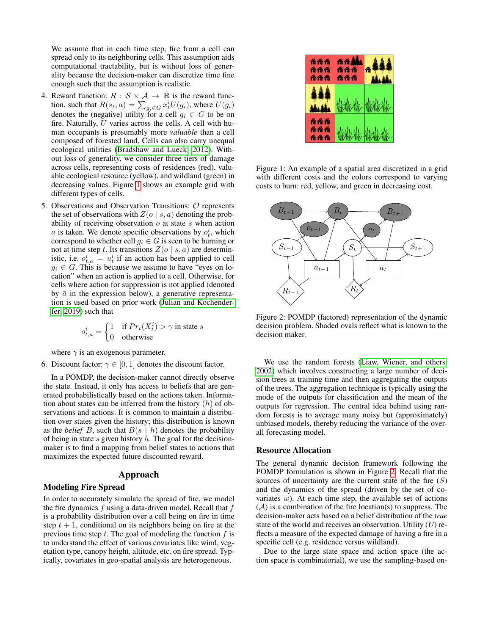We assume that in each time step, fire from a cell can spread only to its neighboring cells. This assumption aids computational tractability, but is without loss of generality because the decision-maker can discretize time fine enough such that the assumption is realistic.

- 4. Reward function:  $R : S \times A \rightarrow \mathbb{R}$  is the reward function, such that  $R(s_t, a) = \sum_{g_i \in G} x_t^i U(g_i)$ , where  $U(g_i)$ denotes the (negative) utility for a cell  $g_i \in G$  to be on fire. Naturally, U varies across the cells. A cell with human occupants is presumably more *valuable* than a cell composed of forested land. Cells can also carry unequal ecological utilities [\(Bradshaw and Lueck, 2012\)](#page-6-12). Without loss of generality, we consider three tiers of damage across cells, representing costs of residences (red), valuable ecological resource (yellow), and wildland (green) in decreasing values. Figure [1](#page-2-0) shows an example grid with different types of cells.
- 5. Observations and Observation Transitions: O represents the set of observations with  $Z(o \mid s, a)$  denoting the probability of receiving observation  $o$  at state  $s$  when action a is taken. We denote specific observations by  $o_t^i$ , which correspond to whether cell  $g_i \in G$  is seen to be burning or not at time step t. Its transitions  $Z(o \mid s, a)$  are deterministic, i.e.  $o_{t,a}^i = u_t^i$  if an action has been applied to cell  $g_i \in G$ . This is because we assume to have "eyes on location" when an action is applied to a cell. Otherwise, for cells where action for suppression is not applied (denoted by  $\bar{a}$  in the expression below), a generative representation is used based on prior work [\(Julian and Kochender](#page-6-13)[fer, 2019\)](#page-6-13) such that

$$
o_{t,\bar{a}}^i = \begin{cases} 1 & \text{if } Pr_t(X_t^i) > \gamma \text{ in state } s \\ 0 & \text{otherwise} \end{cases}
$$

where  $\gamma$  is an exogenous parameter.

6. Discount factor:  $\gamma \in [0, 1]$  denotes the discount factor.

In a POMDP, the decision-maker cannot directly observe the state. Instead, it only has access to beliefs that are generated probabilistically based on the actions taken. Information about states can be inferred from the history  $(h)$  of observations and actions. It is common to maintain a distribution over states given the history; this distribution is known as the *belief* B, such that  $B(s \mid h)$  denotes the probability of being in state  $s$  given history  $h$ . The goal for the decisionmaker is to find a mapping from belief states to actions that maximizes the expected future discounted reward.

### Approach

### Modeling Fire Spread

In order to accurately simulate the spread of fire, we model the fire dynamics  $f$  using a data-driven model. Recall that  $f$ is a probability distribution over a cell being on fire in time step  $t + 1$ , conditional on its neighbors being on fire at the previous time step  $t$ . The goal of modeling the function  $f$  is to understand the effect of various covariates like wind, vegetation type, canopy height, altitude, etc. on fire spread. Typically, covariates in geo-spatial analysis are heterogeneous.

<span id="page-2-0"></span>

Figure 1: An example of a spatial area discretized in a grid with different costs and the colors correspond to varying costs to burn: red, yellow, and green in decreasing cost.

<span id="page-2-1"></span>

Figure 2: POMDP (factored) representation of the dynamic decision problem. Shaded ovals reflect what is known to the decision maker.

We use the random forests [\(Liaw, Wiener, and others,](#page-6-14) [2002\)](#page-6-14) which involves constructing a large number of decision trees at training time and then aggregating the outputs of the trees. The aggregation technique is typically using the mode of the outputs for classification and the mean of the outputs for regression. The central idea behind using random forests is to average many noisy but (approximately) unbiased models, thereby reducing the variance of the overall forecasting model.

#### Resource Allocation

The general dynamic decision framework following the POMDP formulation is shown in Figure [2.](#page-2-1) Recall that the sources of uncertainty are the current state of the fire  $(S)$ and the dynamics of the spread (driven by the set of covariates  $w$ ). At each time step, the available set of actions  $(A)$  is a combination of the fire location(s) to suppress. The decision-maker acts based on a belief distribution of the *true* state of the world and receives an observation. Utility (*U*) reflects a measure of the expected damage of having a fire in a specific cell (e.g. residence versus wildland).

Due to the large state space and action space (the action space is combinatorial), we use the sampling-based on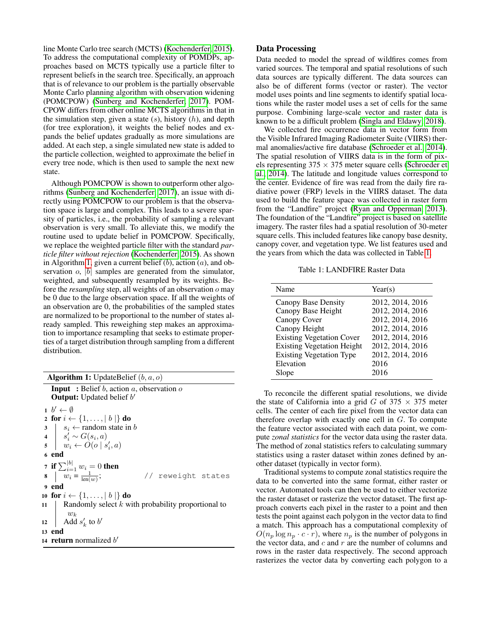line Monte Carlo tree search (MCTS) [\(Kochenderfer, 2015\)](#page-6-11). To address the computational complexity of POMDPs, approaches based on MCTS typically use a particle filter to represent beliefs in the search tree. Specifically, an approach that is of relevance to our problem is the partially observable Monte Carlo planning algorithm with observation widening (POMCPOW) [\(Sunberg and Kochenderfer, 2017\)](#page-6-15). POM-CPOW differs from other online MCTS algorithms in that in the simulation step, given a state  $(s)$ , history  $(h)$ , and depth (for tree exploration), it weights the belief nodes and expands the belief updates gradually as more simulations are added. At each step, a single simulated new state is added to the particle collection, weighted to approximate the belief in every tree node, which is then used to sample the next new state.

Although POMCPOW is shown to outperform other algorithms [\(Sunberg and Kochenderfer, 2017\)](#page-6-15), an issue with directly using POMCPOW to our problem is that the observation space is large and complex. This leads to a severe sparsity of particles, i.e., the probability of sampling a relevant observation is very small. To alleviate this, we modify the routine used to update belief in POMCPOW. Specifically, we replace the weighted particle filter with the standard *particle filter without rejection* [\(Kochenderfer, 2015\)](#page-6-11). As shown in Algorithm [1,](#page-3-0) given a current belief  $(b)$ , action  $(a)$ , and observation  $o$ ,  $|b|$  samples are generated from the simulator, weighted, and subsequently resampled by its weights. Before the *resampling* step, all weights of an observation o may be 0 due to the large observation space. If all the weights of an observation are 0, the probabilities of the sampled states are normalized to be proportional to the number of states already sampled. This reweighing step makes an approximation to importance resampling that seeks to estimate properties of a target distribution through sampling from a different distribution.

| <b>Algorithm 1:</b> UpdateBelief $(b, a, o)$ |                                                                                        |  |  |
|----------------------------------------------|----------------------------------------------------------------------------------------|--|--|
|                                              | <b>Input</b> : Belief b, action a, observation o<br><b>Output:</b> Updated belief $b'$ |  |  |
|                                              | $1\;b'\leftarrow\emptyset$                                                             |  |  |
|                                              | 2 for $i \leftarrow \{1, \ldots,  b \}$ do                                             |  |  |
|                                              |                                                                                        |  |  |
|                                              |                                                                                        |  |  |
|                                              | 3<br>4<br>$s'_i \sim G(s_i, a)$<br>5<br>$w_i \leftarrow O(o \mid s'_i, a)$             |  |  |
|                                              | 6 end                                                                                  |  |  |
|                                              | 7 if $\sum_{i=1}^{ b } w_i = 0$ then                                                   |  |  |
|                                              | 8 $w_i = \frac{1}{\ln(w_i)}$ ;<br>// reweight states                                   |  |  |
|                                              | 9 end                                                                                  |  |  |
|                                              | 10 for $i \leftarrow \{1, \ldots,  b \}$ do                                            |  |  |
|                                              | 11   Randomly select $k$ with probability proportional to                              |  |  |
|                                              |                                                                                        |  |  |
|                                              | 12 $\begin{vmatrix} w_k \\ \text{Add } s'_k \text{ to } b' \end{vmatrix}$              |  |  |
|                                              | 13 end                                                                                 |  |  |
|                                              | 14 <b>return</b> normalized b'                                                         |  |  |

## Data Processing

Data needed to model the spread of wildfires comes from varied sources. The temporal and spatial resolutions of such data sources are typically different. The data sources can also be of different forms (vector or raster). The vector model uses points and line segments to identify spatial locations while the raster model uses a set of cells for the same purpose. Combining large-scale vector and raster data is known to be a difficult problem [\(Singla and Eldawy, 2018\)](#page-6-2).

We collected fire occurrence data in vector form from the Visible Infrared Imaging Radiometer Suite (VIIRS) thermal anomalies/active fire database [\(Schroeder et al., 2014\)](#page-6-16). The spatial resolution of VIIRS data is in the form of pixels representing  $375 \times 375$  meter square cells [\(Schroeder et](#page-6-16) [al., 2014\)](#page-6-16). The latitude and longitude values correspond to the center. Evidence of fire was read from the daily fire radiative power (FRP) levels in the VIIRS dataset. The data used to build the feature space was collected in raster form from the "Landfire" project [\(Ryan and Opperman, 2013\)](#page-6-17). The foundation of the "Landfire" project is based on satellite imagery. The raster files had a spatial resolution of 30-meter square cells. This included features like canopy base desnity, canopy cover, and vegetation type. We list features used and the years from which the data was collected in Table [1.](#page-3-1)

Table 1: LANDFIRE Raster Data

<span id="page-3-1"></span>

| Name                              | Year(s)          |
|-----------------------------------|------------------|
| Canopy Base Density               | 2012, 2014, 2016 |
| Canopy Base Height                | 2012, 2014, 2016 |
| Canopy Cover                      | 2012, 2014, 2016 |
| Canopy Height                     | 2012, 2014, 2016 |
| <b>Existing Vegetation Cover</b>  | 2012, 2014, 2016 |
| <b>Existing Vegetation Height</b> | 2012, 2014, 2016 |
| <b>Existing Vegetation Type</b>   | 2012, 2014, 2016 |
| Elevation                         | 2016             |
| Slope                             | 2016             |

To reconcile the different spatial resolutions, we divide the state of California into a grid G of  $375 \times 375$  meter cells. The center of each fire pixel from the vector data can therefore overlap with exactly one cell in  $G$ . To compute the feature vector associated with each data point, we compute *zonal statistics* for the vector data using the raster data. The method of zonal statistics refers to calculating summary statistics using a raster dataset within zones defined by another dataset (typically in vector form).

<span id="page-3-0"></span>Traditional systems to compute zonal statistics require the data to be converted into the same format, either raster or vector. Automated tools can then be used to either vectorize the raster dataset or rasterize the vector dataset. The first approach converts each pixel in the raster to a point and then tests the point against each polygon in the vector data to find a match. This approach has a computational complexity of  $O(n_p \log n_p \cdot c \cdot r)$ , where  $n_p$  is the number of polygons in the vector data, and  $c$  and  $r$  are the number of columns and rows in the raster data respectively. The second approach rasterizes the vector data by converting each polygon to a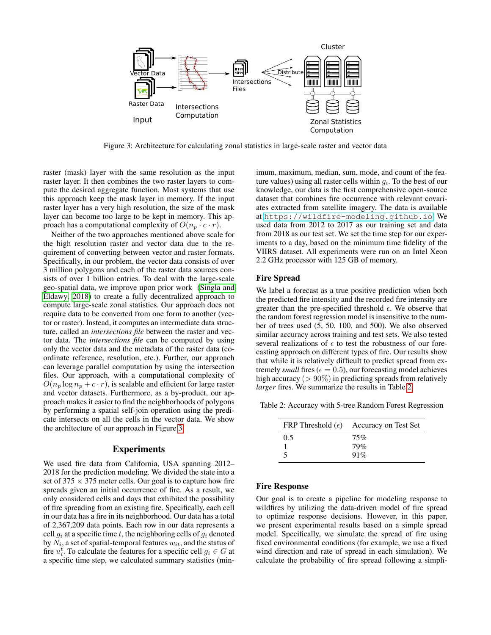<span id="page-4-0"></span>

Figure 3: Architecture for calculating zonal statistics in large-scale raster and vector data

raster (mask) layer with the same resolution as the input raster layer. It then combines the two raster layers to compute the desired aggregate function. Most systems that use this approach keep the mask layer in memory. If the input raster layer has a very high resolution, the size of the mask layer can become too large to be kept in memory. This approach has a computational complexity of  $O(n_p \cdot c \cdot r)$ .

Neither of the two approaches mentioned above scale for the high resolution raster and vector data due to the requirement of converting between vector and raster formats. Specifically, in our problem, the vector data consists of over 3 million polygons and each of the raster data sources consists of over 1 billion entries. To deal with the large-scale geo-spatial data, we improve upon prior work [\(Singla and](#page-6-2) [Eldawy, 2018\)](#page-6-2) to create a fully decentralized approach to compute large-scale zonal statistics. Our approach does not require data to be converted from one form to another (vector or raster). Instead, it computes an intermediate data structure, called an *intersections file* between the raster and vector data. The *intersections file* can be computed by using only the vector data and the metadata of the raster data (coordinate reference, resolution, etc.). Further, our approach can leverage parallel computation by using the intersection files. Our approach, with a computational complexity of  $O(n_p \log n_p + c \cdot r)$ , is scalable and efficient for large raster and vector datasets. Furthermore, as a by-product, our approach makes it easier to find the neighborhoods of polygons by performing a spatial self-join operation using the predicate intersects on all the cells in the vector data. We show the architecture of our approach in Figure [3.](#page-4-0)

## Experiments

We used fire data from California, USA spanning 2012– 2018 for the prediction modeling. We divided the state into a set of  $375 \times 375$  meter cells. Our goal is to capture how fire spreads given an initial occurrence of fire. As a result, we only considered cells and days that exhibited the possibility of fire spreading from an existing fire. Specifically, each cell in our data has a fire in its neighborhood. Our data has a total of 2,367,209 data points. Each row in our data represents a cell  $g_i$  at a specific time t, the neighboring cells of  $g_i$  denoted by  $N_i$ , a set of spatial-temporal features  $w_{it}$ , and the status of fire  $u_i^t$ . To calculate the features for a specific cell  $g_i \in G$  at a specific time step, we calculated summary statistics (minimum, maximum, median, sum, mode, and count of the feature values) using all raster cells within  $g_i$ . To the best of our knowledge, our data is the first comprehensive open-source dataset that combines fire occurrence with relevant covariates extracted from satellite imagery. The data is available at <https://wildfire-modeling.github.io>. We used data from 2012 to 2017 as our training set and data from 2018 as our test set. We set the time step for our experiments to a day, based on the minimum time fidelity of the VIIRS dataset. All experiments were run on an Intel Xeon 2.2 GHz processor with 125 GB of memory.

## Fire Spread

We label a forecast as a true positive prediction when both the predicted fire intensity and the recorded fire intensity are greater than the pre-specified threshold  $\epsilon$ . We observe that the random forest regression model is insensitive to the number of trees used (5, 50, 100, and 500). We also observed similar accuracy across training and test sets. We also tested several realizations of  $\epsilon$  to test the robustness of our forecasting approach on different types of fire. Our results show that while it is relatively difficult to predict spread from extremely *small* fires ( $\epsilon = 0.5$ ), our forecasting model achieves high accuracy ( $> 90\%$ ) in predicting spreads from relatively *larger* fires. We summarize the results in Table [2.](#page-4-1)

<span id="page-4-1"></span>Table 2: Accuracy with 5-tree Random Forest Regression

|     | FRP Threshold $(\epsilon)$ Accuracy on Test Set |
|-----|-------------------------------------------------|
| 0.5 | 75%                                             |
|     | 79%                                             |
|     | 91%                                             |

#### Fire Response

Our goal is to create a pipeline for modeling response to wildfires by utilizing the data-driven model of fire spread to optimize response decisions. However, in this paper, we present experimental results based on a simple spread model. Specifically, we simulate the spread of fire using fixed environmental conditions (for example, we use a fixed wind direction and rate of spread in each simulation). We calculate the probability of fire spread following a simpli-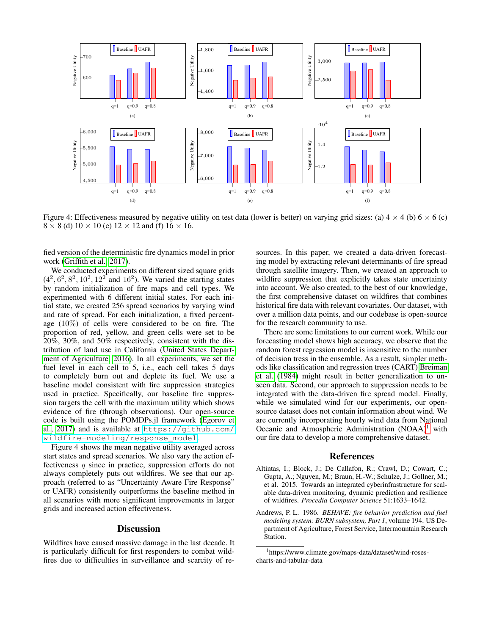

Figure 4: Effectiveness measured by negative utility on test data (lower is better) on varying grid sizes: (a)  $4 \times 4$  (b)  $6 \times 6$  (c)  $8 \times 8$  (d)  $10 \times 10$  (e)  $12 \times 12$  and (f)  $16 \times 16$ .

fied version of the deterministic fire dynamics model in prior work [\(Griffith et al., 2017\)](#page-6-10).

We conducted experiments on different sized square grids  $(4^2, 6^2, 8^2, 10^2, 12^2$  and 16<sup>2</sup>). We varied the starting states by random initialization of fire maps and cell types. We experimented with 6 different initial states. For each initial state, we created 256 spread scenarios by varying wind and rate of spread. For each initialization, a fixed percentage  $(10\%)$  of cells were considered to be on fire. The proportion of red, yellow, and green cells were set to be 20%, 30%, and 50% respectively, consistent with the distribution of land use in California [\(United States Depart](#page-6-18)[ment of Agriculture, 2016\)](#page-6-18). In all experiments, we set the fuel level in each cell to 5, i.e., each cell takes 5 days to completely burn out and deplete its fuel. We use a baseline model consistent with fire suppression strategies used in practice. Specifically, our baseline fire suppression targets the cell with the maximum utility which shows evidence of fire (through observations). Our open-source code is built using the POMDPs.jl framework [\(Egorov et](#page-6-19) [al., 2017\)](#page-6-19) and is available at [https://github.com/](https://github.com/wildfire-modeling/response_model) [wildfire-modeling/response\\_model](https://github.com/wildfire-modeling/response_model).

Figure 4 shows the mean negative utility averaged across start states and spread scenarios. We also vary the action effectiveness  $q$  since in practice, suppression efforts do not always completely puts out wildfires. We see that our approach (referred to as "Uncertainty Aware Fire Response" or UAFR) consistently outperforms the baseline method in all scenarios with more significant improvements in larger grids and increased action effectiveness.

### **Discussion**

Wildfires have caused massive damage in the last decade. It is particularly difficult for first responders to combat wildfires due to difficulties in surveillance and scarcity of resources. In this paper, we created a data-driven forecasting model by extracting relevant determinants of fire spread through satellite imagery. Then, we created an approach to wildfire suppression that explicitly takes state uncertainty into account. We also created, to the best of our knowledge, the first comprehensive dataset on wildfires that combines historical fire data with relevant covariates. Our dataset, with over a million data points, and our codebase is open-source for the research community to use.

There are some limitations to our current work. While our forecasting model shows high accuracy, we observe that the random forest regression model is insensitive to the number of decision tress in the ensemble. As a result, simpler methods like classification and regression trees (CART) [Breiman](#page-6-20) [et al.](#page-6-20) [\(1984\)](#page-6-20) might result in better generalization to unseen data. Second, our approach to suppression needs to be integrated with the data-driven fire spread model. Finally, while we simulated wind for our experiments, our opensource dataset does not contain information about wind. We are currently incorporating hourly wind data from National Oceanic and Atmospheric Administration  $(NOAA)^1$  $(NOAA)^1$  with our fire data to develop a more comprehensive dataset.

#### References

- <span id="page-5-1"></span>Altintas, I.; Block, J.; De Callafon, R.; Crawl, D.; Cowart, C.; Gupta, A.; Nguyen, M.; Braun, H.-W.; Schulze, J.; Gollner, M.; et al. 2015. Towards an integrated cyberinfrastructure for scalable data-driven monitoring, dynamic prediction and resilience of wildfires. *Procedia Computer Science* 51:1633–1642.
- <span id="page-5-0"></span>Andrews, P. L. 1986. *BEHAVE: fire behavior prediction and fuel modeling system: BURN subsystem, Part 1*, volume 194. US Department of Agriculture, Forest Service, Intermountain Research Station.

<span id="page-5-2"></span><sup>1</sup> https://www.climate.gov/maps-data/dataset/wind-rosescharts-and-tabular-data